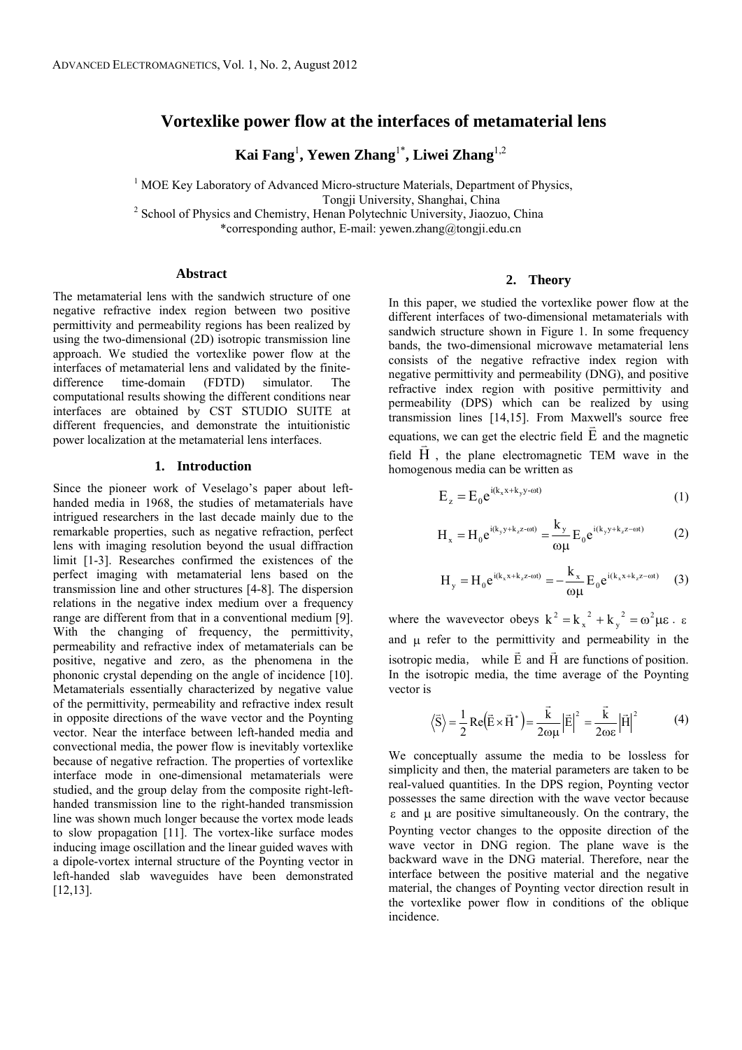# **Vortexlike power flow at the interfaces of metamaterial lens**

**Kai Fang**<sup>1</sup> **, Yewen Zhang**1\***, Liwei Zhang**1,2

<sup>1</sup> MOE Key Laboratory of Advanced Micro-structure Materials, Department of Physics, Tongji University, Shanghai, China<br><sup>2</sup> School of Physics and Chemistry, Henan Polytechnic University, Jiaozuo, China \*corresponding author, E-mail: yewen.zhang@tongji.edu.cn

### **Abstract**

The metamaterial lens with the sandwich structure of one negative refractive index region between two positive permittivity and permeability regions has been realized by using the two-dimensional (2D) isotropic transmission line approach. We studied the vortexlike power flow at the interfaces of metamaterial lens and validated by the finitedifference time-domain (FDTD) simulator. The computational results showing the different conditions near interfaces are obtained by CST STUDIO SUITE at different frequencies, and demonstrate the intuitionistic power localization at the metamaterial lens interfaces.

#### **1. Introduction**

Since the pioneer work of Veselago's paper about lefthanded media in 1968, the studies of metamaterials have intrigued researchers in the last decade mainly due to the remarkable properties, such as negative refraction, perfect lens with imaging resolution beyond the usual diffraction limit [1-3]. Researches confirmed the existences of the perfect imaging with metamaterial lens based on the transmission line and other structures [4-8]. The dispersion relations in the negative index medium over a frequency range are different from that in a conventional medium [9]. With the changing of frequency, the permittivity, permeability and refractive index of metamaterials can be positive, negative and zero, as the phenomena in the phononic crystal depending on the angle of incidence [10]. Metamaterials essentially characterized by negative value of the permittivity, permeability and refractive index result in opposite directions of the wave vector and the Poynting vector. Near the interface between left-handed media and convectional media, the power flow is inevitably vortexlike because of negative refraction. The properties of vortexlike interface mode in one-dimensional metamaterials were studied, and the group delay from the composite right-lefthanded transmission line to the right-handed transmission line was shown much longer because the vortex mode leads to slow propagation [11]. The vortex-like surface modes inducing image oscillation and the linear guided waves with a dipole-vortex internal structure of the Poynting vector in left-handed slab waveguides have been demonstrated [12,13].

## **2. Theory**

In this paper, we studied the vortexlike power flow at the different interfaces of two-dimensional metamaterials with sandwich structure shown in Figure 1. In some frequency bands, the two-dimensional microwave metamaterial lens consists of the negative refractive index region with negative permittivity and permeability (DNG), and positive refractive index region with positive permittivity and permeability (DPS) which can be realized by using transmission lines [14,15]. From Maxwell's source free equations, we can get the electric field  $\vec{E}$  and the magnetic field  $\vec{H}$ , the plane electromagnetic TEM wave in the homogenous media can be written as

$$
E_z = E_0 e^{i(k_x x + k_y y - \omega t)}
$$
 (1)

$$
H_x = H_0 e^{i(k_y y + k_z z - \omega t)} = \frac{k_y}{\omega \mu} E_0 e^{i(k_y y + k_z z - \omega t)}
$$
(2)

$$
H_{y} = H_{0} e^{i(k_{x}x + k_{z}z - \omega t)} = -\frac{k_{x}}{\omega \mu} E_{0} e^{i(k_{x}x + k_{z}z - \omega t)} \quad (3)
$$

where the wavevector obeys  $k^2 = k_x^2 + k_y^2 = \omega^2 \mu \varepsilon$ 2  $k^2 = k_x^2 + k_y^2 = \omega^2 \mu \epsilon \cdot \epsilon$ and  $\mu$  refer to the permittivity and permeability in the isotropic media, while  $\vec{E}$  and  $\vec{H}$  are functions of position. In the isotropic media, the time average of the Poynting vector is

$$
\left\langle \vec{S} \right\rangle = \frac{1}{2} \operatorname{Re} (\vec{E} \times \vec{H}^*) = \frac{\vec{k}}{2\omega\mu} |\vec{E}|^2 = \frac{\vec{k}}{2\omega\epsilon} |\vec{H}|^2 \tag{4}
$$

We conceptually assume the media to be lossless for simplicity and then, the material parameters are taken to be real-valued quantities. In the DPS region, Poynting vector possesses the same direction with the wave vector because  $\epsilon$  and  $\mu$  are positive simultaneously. On the contrary, the Poynting vector changes to the opposite direction of the wave vector in DNG region. The plane wave is the backward wave in the DNG material. Therefore, near the interface between the positive material and the negative material, the changes of Poynting vector direction result in the vortexlike power flow in conditions of the oblique incidence.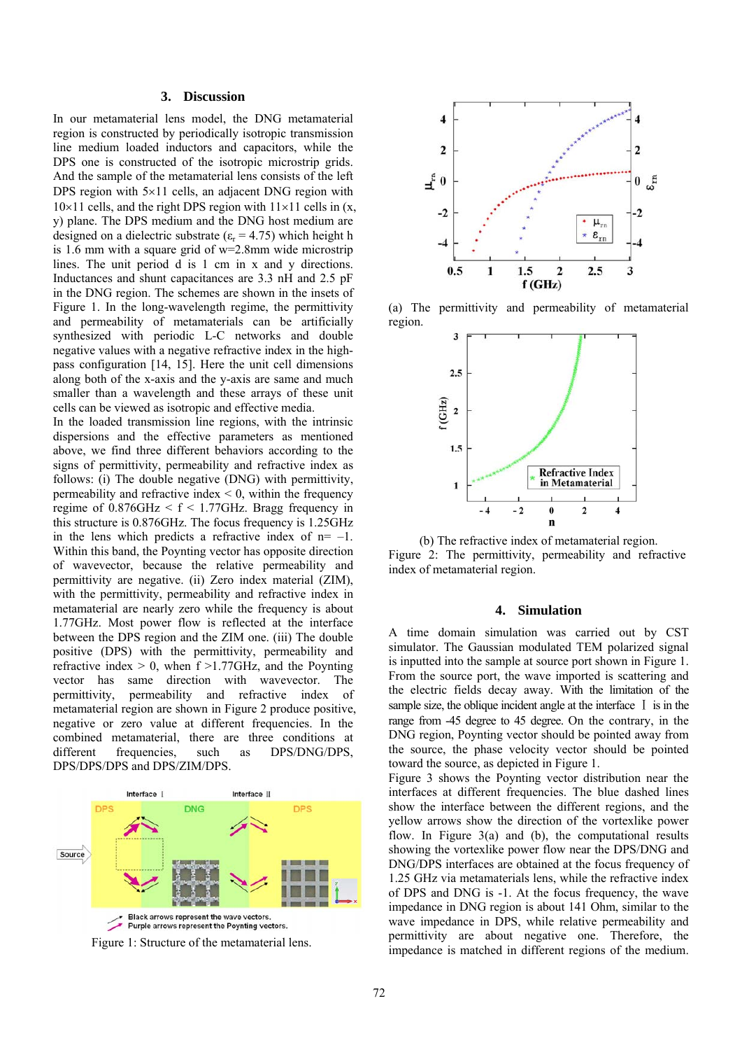### **3. Discussion**

In our metamaterial lens model, the DNG metamaterial region is constructed by periodically isotropic transmission line medium loaded inductors and capacitors, while the DPS one is constructed of the isotropic microstrip grids. And the sample of the metamaterial lens consists of the left DPS region with  $5\times11$  cells, an adjacent DNG region with  $10\times11$  cells, and the right DPS region with  $11\times11$  cells in (x, y) plane. The DPS medium and the DNG host medium are designed on a dielectric substrate ( $\varepsilon_r$  = 4.75) which height h is 1.6 mm with a square grid of w=2.8mm wide microstrip lines. The unit period d is 1 cm in x and y directions. Inductances and shunt capacitances are 3.3 nH and 2.5 pF in the DNG region. The schemes are shown in the insets of Figure 1. In the long-wavelength regime, the permittivity and permeability of metamaterials can be artificially synthesized with periodic L-C networks and double negative values with a negative refractive index in the highpass configuration [14, 15]. Here the unit cell dimensions along both of the x-axis and the y-axis are same and much smaller than a wavelength and these arrays of these unit cells can be viewed as isotropic and effective media.

In the loaded transmission line regions, with the intrinsic dispersions and the effective parameters as mentioned above, we find three different behaviors according to the signs of permittivity, permeability and refractive index as follows: (i) The double negative (DNG) with permittivity, permeability and refractive index  $\leq 0$ , within the frequency regime of  $0.876$ GHz  $\leq f \leq 1.77$ GHz. Bragg frequency in this structure is 0.876GHz. The focus frequency is 1.25GHz in the lens which predicts a refractive index of  $n = -1$ . Within this band, the Poynting vector has opposite direction of wavevector, because the relative permeability and permittivity are negative. (ii) Zero index material (ZIM), with the permittivity, permeability and refractive index in metamaterial are nearly zero while the frequency is about 1.77GHz. Most power flow is reflected at the interface between the DPS region and the ZIM one. (iii) The double positive (DPS) with the permittivity, permeability and refractive index  $> 0$ , when f  $>1.77$ GHz, and the Poynting vector has same direction with wavevector. The permittivity, permeability and refractive index of metamaterial region are shown in Figure 2 produce positive, negative or zero value at different frequencies. In the combined metamaterial, there are three conditions at different frequencies, such as DPS/DNG/DPS, DPS/DPS/DPS and DPS/ZIM/DPS.







(a) The permittivity and permeability of metamaterial region.



(b) The refractive index of metamaterial region. Figure 2: The permittivity, permeability and refractive index of metamaterial region.

## **4. Simulation**

A time domain simulation was carried out by CST simulator. The Gaussian modulated TEM polarized signal is inputted into the sample at source port shown in Figure 1. From the source port, the wave imported is scattering and the electric fields decay away. With the limitation of the sample size, the oblique incident angle at the interface  $\bar{I}$  is in the range from -45 degree to 45 degree. On the contrary, in the DNG region, Poynting vector should be pointed away from the source, the phase velocity vector should be pointed toward the source, as depicted in Figure 1.

Figure 3 shows the Poynting vector distribution near the interfaces at different frequencies. The blue dashed lines show the interface between the different regions, and the yellow arrows show the direction of the vortexlike power flow. In Figure  $3(a)$  and (b), the computational results showing the vortexlike power flow near the DPS/DNG and DNG/DPS interfaces are obtained at the focus frequency of 1.25 GHz via metamaterials lens, while the refractive index of DPS and DNG is -1. At the focus frequency, the wave impedance in DNG region is about 141 Ohm, similar to the wave impedance in DPS, while relative permeability and permittivity are about negative one. Therefore, the impedance is matched in different regions of the medium.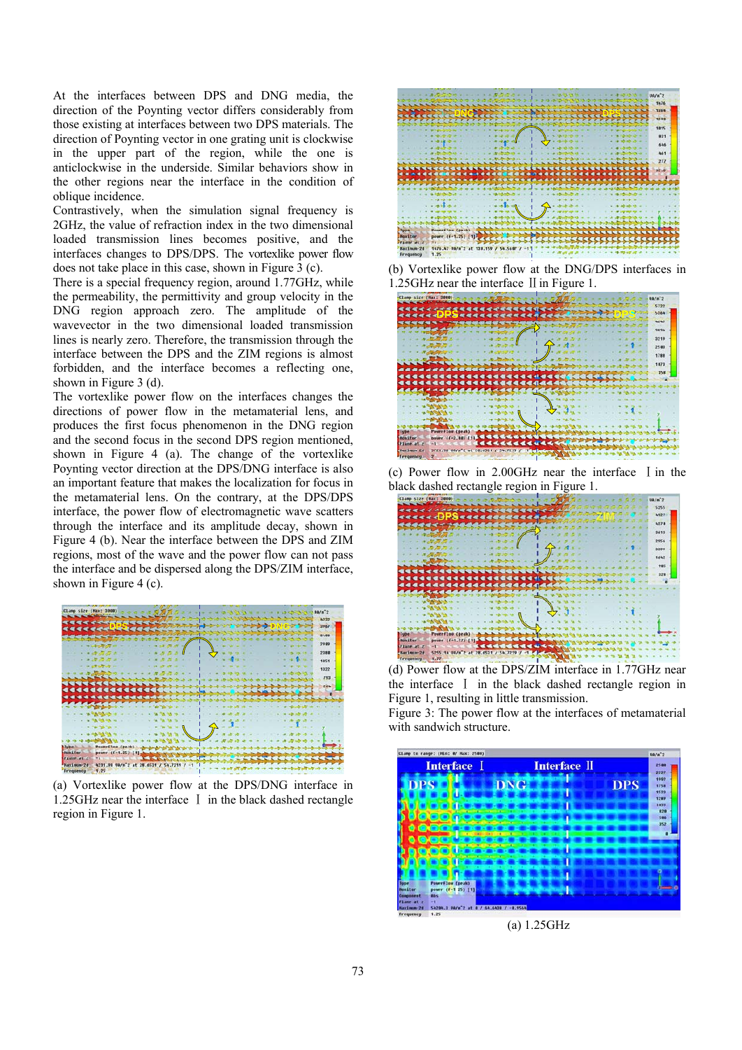At the interfaces between DPS and DNG media, the direction of the Poynting vector differs considerably from those existing at interfaces between two DPS materials. The direction of Poynting vector in one grating unit is clockwise in the upper part of the region, while the one is anticlockwise in the underside. Similar behaviors show in the other regions near the interface in the condition of oblique incidence.

Contrastively, when the simulation signal frequency is 2GHz, the value of refraction index in the two dimensional loaded transmission lines becomes positive, and the interfaces changes to DPS/DPS. The vortexlike power flow does not take place in this case, shown in Figure 3 (c).

There is a special frequency region, around 1.77GHz, while the permeability, the permittivity and group velocity in the DNG region approach zero. The amplitude of the wavevector in the two dimensional loaded transmission lines is nearly zero. Therefore, the transmission through the interface between the DPS and the ZIM regions is almost forbidden, and the interface becomes a reflecting one, shown in Figure 3 (d).

The vortexlike power flow on the interfaces changes the directions of power flow in the metamaterial lens, and produces the first focus phenomenon in the DNG region and the second focus in the second DPS region mentioned, shown in Figure 4 (a). The change of the vortexlike Poynting vector direction at the DPS/DNG interface is also an important feature that makes the localization for focus in the metamaterial lens. On the contrary, at the DPS/DPS interface, the power flow of electromagnetic wave scatters through the interface and its amplitude decay, shown in Figure 4 (b). Near the interface between the DPS and ZIM regions, most of the wave and the power flow can not pass the interface and be dispersed along the DPS/ZIM interface, shown in Figure 4 (c).



(a) Vortexlike power flow at the DPS/DNG interface in  $1.25$ GHz near the interface I in the black dashed rectangle region in Figure 1.



(b) Vortexlike power flow at the DNG/DPS interfaces in 1.25GHz near the interface II in Figure 1.



(c) Power flow in  $2.00$ GHz near the interface I in the black dashed rectangle region in Figure 1.



(d) Power flow at the DPS/ZIM interface in 1.77GHz near the interface I in the black dashed rectangle region in Figure 1, resulting in little transmission.

Figure 3: The power flow at the interfaces of metamaterial with sandwich structure.



(a) 1.25GHz